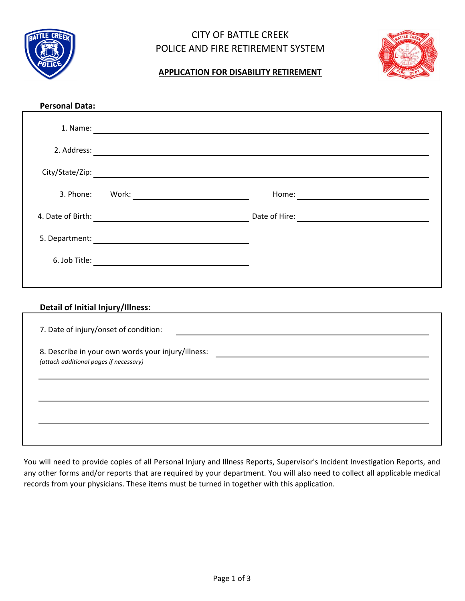

## CITY OF BATTLE CREEK POLICE AND FIRE RETIREMENT SYSTEM



## **APPLICATION FOR DISABILITY RETIREMENT**

| <b>Personal Data:</b>                  |  |                                                    |  |
|----------------------------------------|--|----------------------------------------------------|--|
|                                        |  |                                                    |  |
|                                        |  |                                                    |  |
|                                        |  |                                                    |  |
|                                        |  |                                                    |  |
|                                        |  |                                                    |  |
|                                        |  |                                                    |  |
|                                        |  |                                                    |  |
|                                        |  |                                                    |  |
| Detail of Initial Injury/Illness:      |  | <u> 1989 - John Stein, Amerikaansk politiker (</u> |  |
| 7. Date of injury/onset of condition:  |  |                                                    |  |
| (attach additional pages if necessary) |  |                                                    |  |
|                                        |  |                                                    |  |
|                                        |  |                                                    |  |
|                                        |  |                                                    |  |

You will need to provide copies of all Personal Injury and Illness Reports, Supervisor's Incident Investigation Reports, and any other forms and/or reports that are required by your department. You will also need to collect all applicable medical records from your physicians. These items must be turned in together with this application.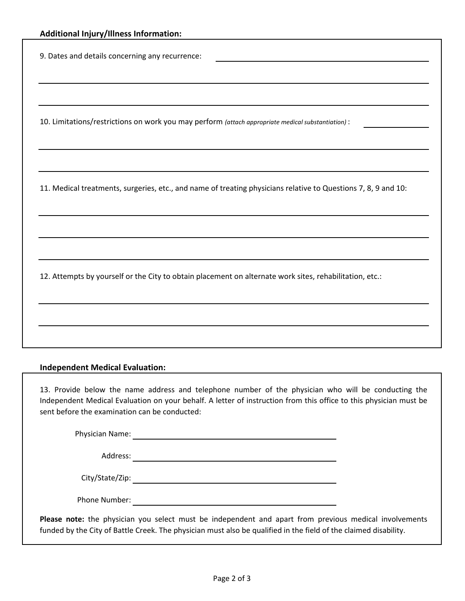9. Dates and details concerning any recurrence:

10. Limitations/restrictions on work you may perform *(attach appropriate medical substantiation)* :

11. Medical treatments, surgeries, etc., and name of treating physicians relative to Questions 7, 8, 9 and 10:

12. Attempts by yourself or the City to obtain placement on alternate work sites, rehabilitation, etc.:

## **Independent Medical Evaluation:**

13. Provide below the name address and telephone number of the physician who will be conducting the Independent Medical Evaluation on your behalf. A letter of instruction from this office to this physician must be sent before the examination can be conducted:

Physician Name:

Address:

City/State/Zip:

Phone Number:

**Please note:** the physician you select must be independent and apart from previous medical involvements funded by the City of Battle Creek. The physician must also be qualified in the field of the claimed disability.